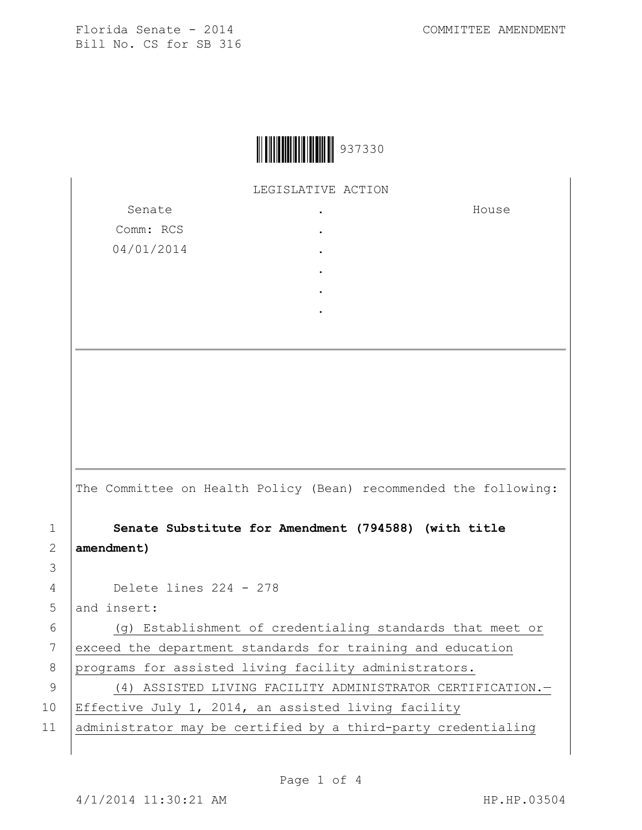Florida Senate - 2014 COMMITTEE AMENDMENT Bill No. CS for SB 316

| 937330 |
|--------|
|--------|

LEGISLATIVE ACTION

Senate Comm: RCS 04/01/2014 . . . . . . House

The Committee on Health Policy (Bean) recommended the following:

1 **Senate Substitute for Amendment (794588) (with title**  2 **amendment)**

4 Delete lines 224 - 278

5 and insert:

3

6 (g) Establishment of credentialing standards that meet or 7 exceed the department standards for training and education 8 programs for assisted living facility administrators.

9 (4) ASSISTED LIVING FACILITY ADMINISTRATOR CERTIFICATION. 10 | Effective July 1, 2014, an assisted living facility

11 administrator may be certified by a third-party credentialing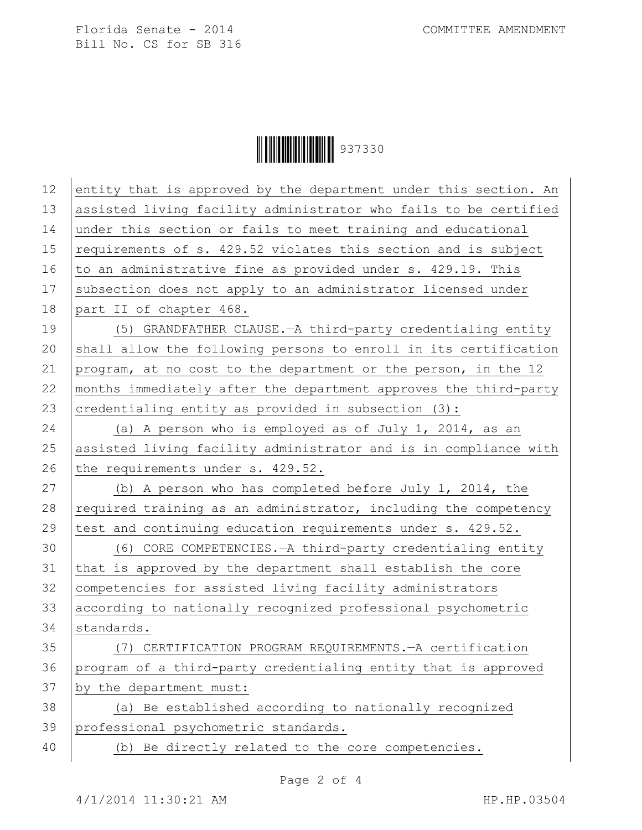Florida Senate - 2014 COMMITTEE AMENDMENT Bill No. CS for SB 316

Ì937330{Î937330

| 12 | entity that is approved by the department under this section. An |
|----|------------------------------------------------------------------|
| 13 | assisted living facility administrator who fails to be certified |
| 14 | under this section or fails to meet training and educational     |
| 15 | requirements of s. 429.52 violates this section and is subject   |
| 16 | to an administrative fine as provided under s. 429.19. This      |
| 17 | subsection does not apply to an administrator licensed under     |
| 18 | part II of chapter 468.                                          |
| 19 | (5) GRANDFATHER CLAUSE. - A third-party credentialing entity     |
| 20 | shall allow the following persons to enroll in its certification |
| 21 | program, at no cost to the department or the person, in the 12   |
| 22 | months immediately after the department approves the third-party |
| 23 | credentialing entity as provided in subsection (3):              |
| 24 | (a) A person who is employed as of July 1, 2014, as an           |
| 25 | assisted living facility administrator and is in compliance with |
| 26 | the requirements under s. 429.52.                                |
| 27 | (b) A person who has completed before July 1, 2014, the          |
| 28 | required training as an administrator, including the competency  |
| 29 | test and continuing education requirements under s. 429.52.      |
| 30 | (6) CORE COMPETENCIES. - A third-party credentialing entity      |
| 31 | that is approved by the department shall establish the core      |
| 32 | competencies for assisted living facility administrators         |
| 33 | according to nationally recognized professional psychometric     |
| 34 | standards.                                                       |
| 35 | (7) CERTIFICATION PROGRAM REQUIREMENTS. - A certification        |
| 36 | program of a third-party credentialing entity that is approved   |
| 37 | by the department must:                                          |
| 38 | (a) Be established according to nationally recognized            |
| 39 | professional psychometric standards.                             |
| 40 | (b) Be directly related to the core competencies.                |
|    |                                                                  |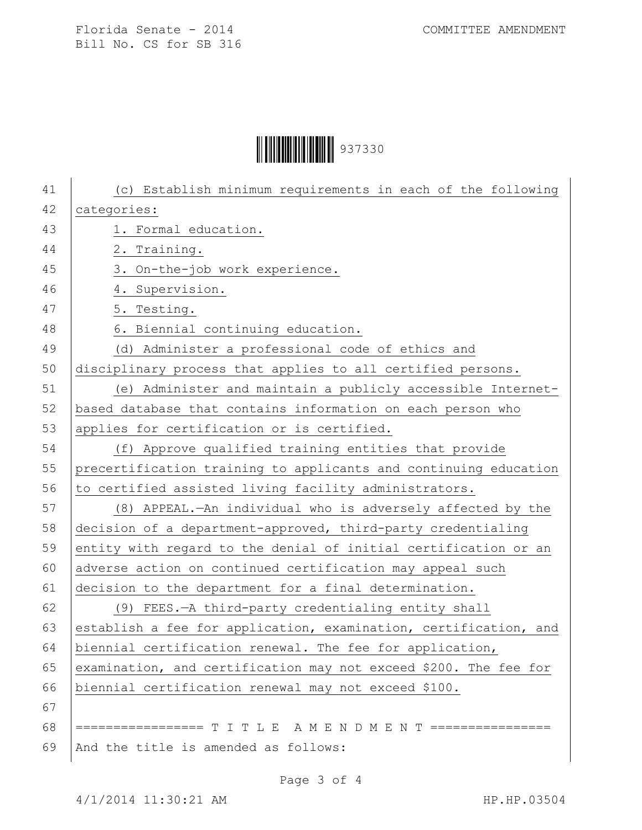## Ì937330{Î937330

| 41 | (c) Establish minimum requirements in each of the following      |
|----|------------------------------------------------------------------|
| 42 | categories:                                                      |
| 43 | 1. Formal education.                                             |
| 44 | 2. Training.                                                     |
| 45 | 3. On-the-job work experience.                                   |
| 46 | 4. Supervision.                                                  |
| 47 | 5. Testing.                                                      |
| 48 | 6. Biennial continuing education.                                |
| 49 | (d) Administer a professional code of ethics and                 |
| 50 | disciplinary process that applies to all certified persons.      |
| 51 | (e) Administer and maintain a publicly accessible Internet-      |
| 52 | based database that contains information on each person who      |
| 53 | applies for certification or is certified.                       |
| 54 | (f) Approve qualified training entities that provide             |
| 55 | precertification training to applicants and continuing education |
| 56 | to certified assisted living facility administrators.            |
| 57 | (8) APPEAL.—An individual who is adversely affected by the       |
| 58 | decision of a department-approved, third-party credentialing     |
| 59 | entity with regard to the denial of initial certification or an  |
| 60 | adverse action on continued certification may appeal such        |
| 61 | decision to the department for a final determination.            |
| 62 | (9) FEES.-A third-party credentialing entity shall               |
| 63 | establish a fee for application, examination, certification, and |
| 64 | biennial certification renewal. The fee for application,         |
| 65 | examination, and certification may not exceed \$200. The fee for |
| 66 | biennial certification renewal may not exceed \$100.             |
| 67 |                                                                  |
| 68 | ================= T I T L E A M E N D M E N T ================   |
| 69 | And the title is amended as follows:                             |